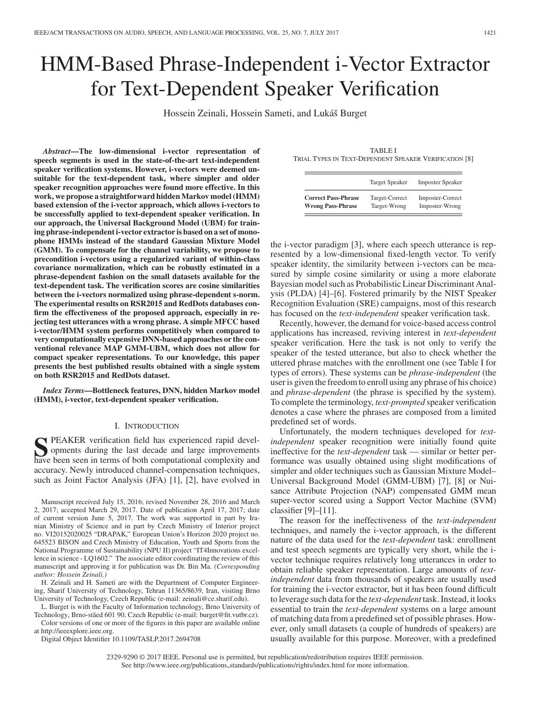# HMM-Based Phrase-Independent i-Vector Extractor for Text-Dependent Speaker Verification

Hossein Zeinali, Hossein Sameti, and Lukáš Burget

*Abstract***—The low-dimensional i-vector representation of speech segments is used in the state-of-the-art text-independent speaker verification systems. However, i-vectors were deemed unsuitable for the text-dependent task, where simpler and older speaker recognition approaches were found more effective. In this work, we propose a straightforward hidden Markov model (HMM) based extension of the i-vector approach, which allows i-vectors to be successfully applied to text-dependent speaker verification. In our approach, the Universal Background Model (UBM) for training phrase-independent i-vector extractor is based on a set of monophone HMMs instead of the standard Gaussian Mixture Model (GMM). To compensate for the channel variability, we propose to precondition i-vectors using a regularized variant of within-class covariance normalization, which can be robustly estimated in a phrase-dependent fashion on the small datasets available for the text-dependent task. The verification scores are cosine similarities between the i-vectors normalized using phrase-dependent s-norm. The experimental results on RSR2015 and RedDots databases confirm the effectiveness of the proposed approach, especially in rejecting test utterances with a wrong phrase. A simple MFCC based i-vector/HMM system performs competitively when compared to very computationally expensive DNN-based approaches or the conventional relevance MAP GMM-UBM, which does not allow for compact speaker representations. To our knowledge, this paper presents the best published results obtained with a single system on both RSR2015 and RedDots dataset.**

*Index Terms***—Bottleneck features, DNN, hidden Markov model (HMM), i-vector, text-dependent speaker verification.**

## I. INTRODUCTION

**S**PEAKER verification field has experienced rapid developments during the last decade and large improvements have been seen in terms of both computational complexity and accuracy. Newly introduced channel-compensation techniques, such as Joint Factor Analysis (JFA) [1], [2], have evolved in

Manuscript received July 15, 2016; revised November 28, 2016 and March 2, 2017; accepted March 29, 2017. Date of publication April 17, 2017; date of current version June 5, 2017. The work was supported in part by Iranian Ministry of Science and in part by Czech Ministry of Interior project no. VI20152020025 "DRAPAK," European Union's Horizon 2020 project no. 645523 BISON and Czech Ministry of Education, Youth and Sports from the National Programme of Sustainability (NPU II) project "IT4Innovations excellence in science - LQ1602." The associate editor coordinating the review of this manuscript and approving it for publication was Dr. Bin Ma. *(Corresponding author: Hossein Zeinali.)*

H. Zeinali and H. Sameti are with the Department of Computer Engineering, Sharif University of Technology, Tehran 11365/8639, Iran, visiting Brno University of Technology, Czech Republic (e-mail: zeinali@ce.sharif.edu).

L. Burget is with the Faculty of Information technology, Brno University of Technology, Brno-stăed 601 90, Czech Republic (e-mail: burget@fit.vutbr.cz).

Color versions of one or more of the figures in this paper are available online at http://ieeexplore.ieee.org.

Digital Object Identifier 10.1109/TASLP.2017.2694708

TABLE I TRIAL TYPES IN TEXT-DEPENDENT SPEAKER VERIFICATION [8]

|                            | <b>Target Speaker</b> | <b>Imposter Speaker</b> |
|----------------------------|-----------------------|-------------------------|
| <b>Correct Pass-Phrase</b> | Target-Correct        | Imposter-Correct        |
| <b>Wrong Pass-Phrase</b>   | Target-Wrong          | Imposter-Wrong          |

the i-vector paradigm [3], where each speech utterance is represented by a low-dimensional fixed-length vector. To verify speaker identity, the similarity between i-vectors can be measured by simple cosine similarity or using a more elaborate Bayesian model such as Probabilistic Linear Discriminant Analysis (PLDA) [4]–[6]. Fostered primarily by the NIST Speaker Recognition Evaluation (SRE) campaigns, most of this research has focused on the *text-independent* speaker verification task.

Recently, however, the demand for voice-based access control applications has increased, reviving interest in *text-dependent* speaker verification. Here the task is not only to verify the speaker of the tested utterance, but also to check whether the uttered phrase matches with the enrollment one (see Table I for types of errors). These systems can be *phrase-independent* (the user is given the freedom to enroll using any phrase of his choice) and *phrase-dependent* (the phrase is specified by the system). To complete the terminology, *text-prompted* speaker verification denotes a case where the phrases are composed from a limited predefined set of words.

Unfortunately, the modern techniques developed for *textindependent* speaker recognition were initially found quite ineffective for the *text-dependent* task — similar or better performance was usually obtained using slight modifications of simpler and older techniques such as Gaussian Mixture Model– Universal Background Model (GMM-UBM) [7], [8] or Nuisance Attribute Projection (NAP) compensated GMM mean super-vector scored using a Support Vector Machine (SVM) classifier [9]–[11].

The reason for the ineffectiveness of the *text-independent* techniques, and namely the i-vector approach, is the different nature of the data used for the *text-dependent* task: enrollment and test speech segments are typically very short, while the ivector technique requires relatively long utterances in order to obtain reliable speaker representation. Large amounts of *textindependent* data from thousands of speakers are usually used for training the i-vector extractor, but it has been found difficult to leverage such data for the *text-dependent* task. Instead, it looks essential to train the *text-dependent* systems on a large amount of matching data from a predefined set of possible phrases. However, only small datasets (a couple of hundreds of speakers) are usually available for this purpose. Moreover, with a predefined

2329-9290 © 2017 IEEE. Personal use is permitted, but republication/redistribution requires IEEE permission. See http://www.ieee.org/publications.standards/publications/rights/index.html for more information.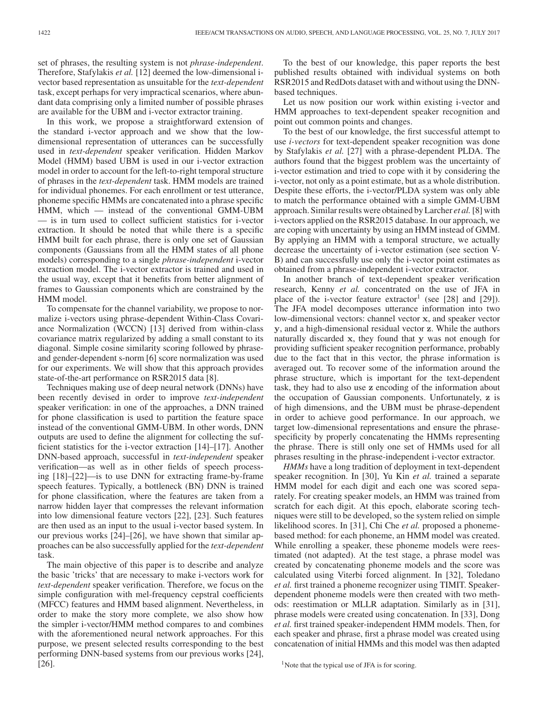set of phrases, the resulting system is not *phrase-independent*. Therefore, Stafylakis *et al.* [12] deemed the low-dimensional ivector based representation as unsuitable for the *text-dependent* task, except perhaps for very impractical scenarios, where abundant data comprising only a limited number of possible phrases are available for the UBM and i-vector extractor training.

In this work, we propose a straightforward extension of the standard i-vector approach and we show that the lowdimensional representation of utterances can be successfully used in *text-dependent* speaker verification. Hidden Markov Model (HMM) based UBM is used in our i-vector extraction model in order to account for the left-to-right temporal structure of phrases in the *text-dependent* task. HMM models are trained for individual phonemes. For each enrollment or test utterance, phoneme specific HMMs are concatenated into a phrase specific HMM, which — instead of the conventional GMM-UBM — is in turn used to collect sufficient statistics for i-vector extraction. It should be noted that while there is a specific HMM built for each phrase, there is only one set of Gaussian components (Gaussians from all the HMM states of all phone models) corresponding to a single *phrase-independent* i-vector extraction model. The i-vector extractor is trained and used in the usual way, except that it benefits from better alignment of frames to Gaussian components which are constrained by the HMM model.

To compensate for the channel variability, we propose to normalize i-vectors using phrase-dependent Within-Class Covariance Normalization (WCCN) [13] derived from within-class covariance matrix regularized by adding a small constant to its diagonal. Simple cosine similarity scoring followed by phraseand gender-dependent s-norm [6] score normalization was used for our experiments. We will show that this approach provides state-of-the-art performance on RSR2015 data [8].

Techniques making use of deep neural network (DNNs) have been recently devised in order to improve *text-independent* speaker verification: in one of the approaches, a DNN trained for phone classification is used to partition the feature space instead of the conventional GMM-UBM. In other words, DNN outputs are used to define the alignment for collecting the sufficient statistics for the i-vector extraction [14]–[17]. Another DNN-based approach, successful in *text-independent* speaker verification—as well as in other fields of speech processing [18]–[22]—is to use DNN for extracting frame-by-frame speech features. Typically, a bottleneck (BN) DNN is trained for phone classification, where the features are taken from a narrow hidden layer that compresses the relevant information into low dimensional feature vectors [22], [23]. Such features are then used as an input to the usual i-vector based system. In our previous works [24]–[26], we have shown that similar approaches can be also successfully applied for the *text-dependent* task.

The main objective of this paper is to describe and analyze the basic 'tricks' that are necessary to make i-vectors work for *text-dependent* speaker verification. Therefore, we focus on the simple configuration with mel-frequency cepstral coefficients (MFCC) features and HMM based alignment. Nevertheless, in order to make the story more complete, we also show how the simpler i-vector/HMM method compares to and combines with the aforementioned neural network approaches. For this purpose, we present selected results corresponding to the best performing DNN-based systems from our previous works [24], [26].

To the best of our knowledge, this paper reports the best published results obtained with individual systems on both RSR2015 and RedDots dataset with and without using the DNNbased techniques.

Let us now position our work within existing i-vector and HMM approaches to text-dependent speaker recognition and point out common points and changes.

To the best of our knowledge, the first successful attempt to use *i-vectors* for text-dependent speaker recognition was done by Stafylakis *et al.* [27] with a phrase-dependent PLDA. The authors found that the biggest problem was the uncertainty of i-vector estimation and tried to cope with it by considering the i-vector, not only as a point estimate, but as a whole distribution. Despite these efforts, the i-vector/PLDA system was only able to match the performance obtained with a simple GMM-UBM approach. Similar results were obtained by Larcher *et al.*[8] with i-vectors applied on the RSR2015 database. In our approach, we are coping with uncertainty by using an HMM instead of GMM. By applying an HMM with a temporal structure, we actually decrease the uncertainty of i-vector estimation (see section V-B) and can successfully use only the i-vector point estimates as obtained from a phrase-independent i-vector extractor.

In another branch of text-dependent speaker verification research, Kenny *et al.* concentrated on the use of JFA in place of the i-vector feature extractor<sup>1</sup> (see [28] and [29]). The JFA model decomposes utterance information into two low-dimensional vectors: channel vector **x**, and speaker vector **y**, and a high-dimensional residual vector **z**. While the authors naturally discarded **x**, they found that **y** was not enough for providing sufficient speaker recognition performance, probably due to the fact that in this vector, the phrase information is averaged out. To recover some of the information around the phrase structure, which is important for the text-dependent task, they had to also use **z** encoding of the information about the occupation of Gaussian components. Unfortunately, **z** is of high dimensions, and the UBM must be phrase-dependent in order to achieve good performance. In our approach, we target low-dimensional representations and ensure the phrasespecificity by properly concatenating the HMMs representing the phrase. There is still only one set of HMMs used for all phrases resulting in the phrase-independent i-vector extractor.

*HMMs* have a long tradition of deployment in text-dependent speaker recognition. In [30], Yu Kin *et al.* trained a separate HMM model for each digit and each one was scored separately. For creating speaker models, an HMM was trained from scratch for each digit. At this epoch, elaborate scoring techniques were still to be developed, so the system relied on simple likelihood scores. In [31], Chi Che *et al.* proposed a phonemebased method: for each phoneme, an HMM model was created. While enrolling a speaker, these phoneme models were reestimated (not adapted). At the test stage, a phrase model was created by concatenating phoneme models and the score was calculated using Viterbi forced alignment. In [32], Toledano *et al.* first trained a phoneme recognizer using TIMIT. Speakerdependent phoneme models were then created with two methods: reestimation or MLLR adaptation. Similarly as in [31], phrase models were created using concatenation. In [33], Dong *et al.* first trained speaker-independent HMM models. Then, for each speaker and phrase, first a phrase model was created using concatenation of initial HMMs and this model was then adapted

<sup>&</sup>lt;sup>1</sup>Note that the typical use of JFA is for scoring.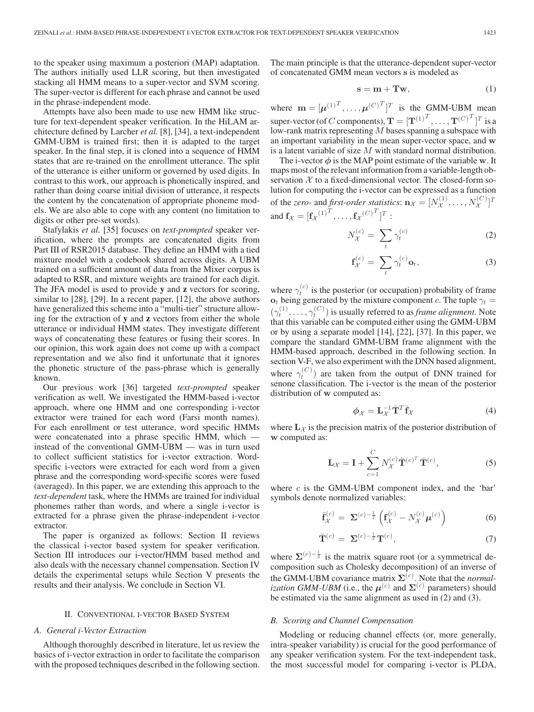to the speaker using maximum a posteriori (MAP) adaptation. The authors initially used LLR scoring, but then investigated stacking all HMM means to a super-vector and SVM scoring. The super-vector is different for each phrase and cannot be used in the phrase-independent mode.

Attempts have also been made to use new HMM like structure for text-dependent speaker verification. In the HiLAM architecture defined by Larcher *et al.* [8], [34], a text-independent GMM-UBM is trained first; then it is adapted to the target speaker. In the final step, it is cloned into a sequence of HMM states that are re-trained on the enrollment utterance. The split of the utterance is either uniform or governed by used digits. In contrast to this work, our approach is phonetically inspired, and rather than doing coarse initial division of utterance, it respects the content by the concatenation of appropriate phoneme models. We are also able to cope with any content (no limitation to digits or other pre-set words).

Stafylakis *et al.* [35] focuses on *text-prompted* speaker verification, where the prompts are concatenated digits from Part III of RSR2015 database. They define an HMM with a tied mixture model with a codebook shared across digits. A UBM trained on a sufficient amount of data from the Mixer corpus is adapted to RSR, and mixture weights are trained for each digit. The JFA model is used to provide **y** and **z** vectors for scoring, similar to [28], [29]. In a recent paper, [12], the above authors have generalized this scheme into a "multi-tier" structure allowing for the extraction of **y** and **z** vectors from either the whole utterance or individual HMM states. They investigate different ways of concatenating these features or fusing their scores. In our opinion, this work again does not come up with a compact representation and we also find it unfortunate that it ignores the phonetic structure of the pass-phrase which is generally known.

Our previous work [36] targeted *text-prompted* speaker verification as well. We investigated the HMM-based i-vector approach, where one HMM and one corresponding i-vector extractor were trained for each word (Farsi month names). For each enrollment or test utterance, word specific HMMs were concatenated into a phrase specific HMM, which instead of the conventional GMM-UBM — was in turn used to collect sufficient statistics for i-vector extraction. Wordspecific i-vectors were extracted for each word from a given phrase and the corresponding word-specific scores were fused (averaged). In this paper, we are extending this approach to the *text-dependent* task, where the HMMs are trained for individual phonemes rather than words, and where a single i-vector is extracted for a phrase given the phrase-independent i-vector extractor.

The paper is organized as follows: Section II reviews the classical i-vector based system for speaker verification. Section III introduces our i-vector/HMM based method and also deals with the necessary channel compensation. Section IV details the experimental setups while Section V presents the results and their analysis. We conclude in Section VI.

## II. CONVENTIONAL I-VECTOR BASED SYSTEM

# *A. General i-Vector Extraction*

Although thoroughly described in literature, let us review the basics of i-vector extraction in order to facilitate the comparison with the proposed techniques described in the following section.

The main principle is that the utterance-dependent super-vector of concatenated GMM mean vectors **s** is modeled as

$$
s = m + Tw,
$$
 (1)

where  $\mathbf{m} = [\boldsymbol{\mu}^{(1)}^T, \dots, \boldsymbol{\mu}^{(C)}^T]^T$  is the GMM-UBM mean super-vector (of C components),  $\mathbf{T} = [\mathbf{T}^{(1)}]^T, \dots, \mathbf{T}^{(C)}]^T]^T$  is a low-rank matrix representing M bases spanning a subspace with low-rank matrix representing M bases spanning a subspace with an important variability in the mean super-vector space, and **w** is a latent variable of size  $M$  with standard normal distribution.

The i-vector  $\phi$  is the MAP point estimate of the variable **w**. It maps most of the relevant information from a variable-length observation  $X$  to a fixed-dimensional vector. The closed-form solution for computing the i-vector can be expressed as a function of the *zero-* and *first-order statistics*:  $\mathbf{n}_{\mathcal{X}} = [N_{\mathcal{X}}^{(1)}, \dots, N_{\mathcal{X}}^{(C)}]^T$ <br>and  $\mathbf{f}_{\mathcal{X}} = [\mathbf{f}_{\mathcal{X}}^{(1)^T}, \dots, \mathbf{f}_{\mathcal{X}}^{(C)^T}]^T$ :

$$
N_{\mathcal{X}}^{(c)} = \sum_{t} \gamma_t^{(c)} \tag{2}
$$

$$
\mathbf{f}_{\mathcal{X}}^{(c)} = \sum_{t} \gamma_t^{(c)} \mathbf{o}_t, \tag{3}
$$

where  $\gamma_t^{(c)}$  is the posterior (or occupation) probability of frame<br>o, being generated by the mixture component c. The tuple  $\gamma_c =$  $\mathbf{o}_t$  being generated by the mixture component c. The tuple  $\gamma_t =$  $(\gamma_t^{(1)}, \ldots, \gamma_t^{(C)})$  is usually referred to as *frame alignment*. Note<br>that this variable can be computed either using the GMM-UBM that this variable can be computed either using the GMM-UBM or by using a separate model [14], [22], [37]. In this paper, we compare the standard GMM-UBM frame alignment with the HMM-based approach, described in the following section. In section V-F, we also experiment with the DNN based alignment, where  $\gamma_t^{(C)}$  are taken from the output of DNN trained for senone classification. The i-vector is the mean of the posterior senone classification. The i-vector is the mean of the posterior distribution of **w** computed as:

$$
\phi_{\mathcal{X}} = \mathbf{L}_{\mathcal{X}}^{-1} \bar{\mathbf{T}}^T \bar{\mathbf{f}}_{\mathcal{X}}
$$
(4)

where  $\mathbf{L}_{\chi}$  is the precision matrix of the posterior distribution of **w** computed as:

$$
\mathbf{L}_{\mathcal{X}} = \mathbf{I} + \sum_{c=1}^{C} N_{\mathcal{X}}^{(c)} \bar{\mathbf{T}}^{(c)^{T}} \bar{\mathbf{T}}^{(c)},
$$
 (5)

where  $c$  is the GMM-UBM component index, and the 'bar' symbols denote normalized variables:

$$
\bar{\mathbf{f}}_{\mathcal{X}}^{(c)} = \Sigma^{(c)-\frac{1}{2}} \left( \mathbf{f}_{\mathcal{X}}^{(c)} - N_{\mathcal{X}}^{(c)} \boldsymbol{\mu}^{(c)} \right) \tag{6}
$$

$$
\bar{\mathbf{T}}^{(c)} = \Sigma^{(c)-\frac{1}{2}} \mathbf{T}^{(c)}, \tag{7}
$$

where  $\Sigma^{(c)-\frac{1}{2}}$  is the matrix square root (or a symmetrical decomposition such as Cholesky decomposition) of an inverse of the GMM-UBM covariance matrix  $\Sigma^{(c)}$ . Note that the *normalization GMM-UBM* (i.e., the  $\mu^{(c)}$  and  $\Sigma^{(c)}$  parameters) should be estimated via the same alignment as used in (2) and (3).

## *B. Scoring and Channel Compensation*

Modeling or reducing channel effects (or, more generally, intra-speaker variability) is crucial for the good performance of any speaker verification system. For the text-independent task, the most successful model for comparing i-vector is PLDA,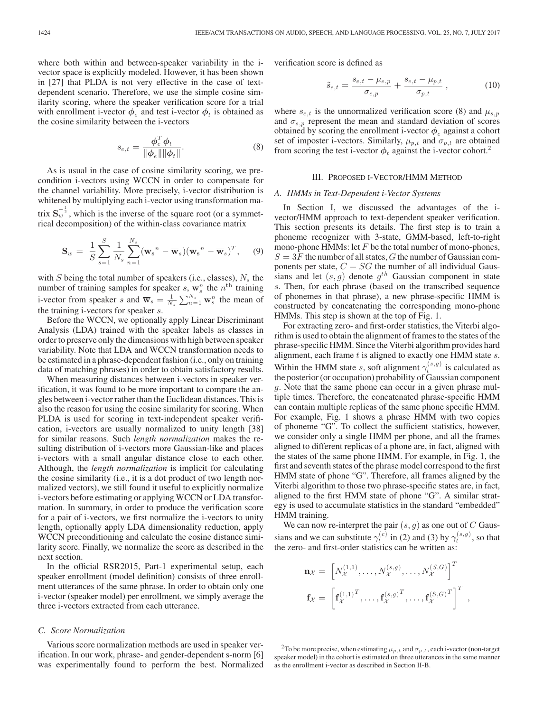where both within and between-speaker variability in the ivector space is explicitly modeled. However, it has been shown in [27] that PLDA is not very effective in the case of textdependent scenario. Therefore, we use the simple cosine similarity scoring, where the speaker verification score for a trial with enrollment i-vector  $\phi_e$  and test i-vector  $\phi_t$  is obtained as the cosine similarity between the i-vectors

$$
s_{e,t} = \frac{\phi_e^T \phi_t}{\|\phi_e\| \|\phi_t\|}.
$$
 (8)

As is usual in the case of cosine similarity scoring, we precondition i-vectors using WCCN in order to compensate for the channel variability. More precisely, i-vector distribution is whitened by multiplying each i-vector using transformation ma-

trix  $S_w^{-\frac{1}{2}}$ , which is the inverse of the square root (or a symmet-<br>ricel decomposition) of the within class coverience matrix rical decomposition) of the within-class covariance matrix

$$
\mathbf{S}_w = \frac{1}{S} \sum_{s=1}^S \frac{1}{N_s} \sum_{n=1}^{N_s} (\mathbf{w_s}^n - \overline{\mathbf{w}}_s) (\mathbf{w_s}^n - \overline{\mathbf{w}}_s)^T, \quad (9)
$$

with  $S$  being the total number of speakers (i.e., classes),  $N_s$  the number of training samples for speaker s,  $\mathbf{w}_s^n$ <br>i yester from speaker s and  $\overline{\mathbf{w}}_s = 1$ number of training samples for speaker s,  $\mathbf{w}_s^n$  the  $n^{\text{th}}$  training i-vector from speaker s and  $\overline{\mathbf{w}}_s = \frac{1}{N_s} \sum_{n=1}^{N_s} \mathbf{w}_s^n$  the mean of the training i-vectors for speaker s.

Before the WCCN, we optionally apply Linear Discriminant Analysis (LDA) trained with the speaker labels as classes in order to preserve only the dimensions with high between speaker variability. Note that LDA and WCCN transformation needs to be estimated in a phrase-dependent fashion (i.e., only on training data of matching phrases) in order to obtain satisfactory results.

When measuring distances between i-vectors in speaker verification, it was found to be more important to compare the angles between i-vector rather than the Euclidean distances. This is also the reason for using the cosine similarity for scoring. When PLDA is used for scoring in text-independent speaker verification, i-vectors are usually normalized to unity length [38] for similar reasons. Such *length normalization* makes the resulting distribution of i-vectors more Gaussian-like and places i-vectors with a small angular distance close to each other. Although, the *length normalization* is implicit for calculating the cosine similarity (i.e., it is a dot product of two length normalized vectors), we still found it useful to explicitly normalize i-vectors before estimating or applying WCCN or LDA transformation. In summary, in order to produce the verification score for a pair of i-vectors, we first normalize the i-vectors to unity length, optionally apply LDA dimensionality reduction, apply WCCN preconditioning and calculate the cosine distance similarity score. Finally, we normalize the score as described in the next section.

In the official RSR2015, Part-1 experimental setup, each speaker enrollment (model definition) consists of three enrollment utterances of the same phrase. In order to obtain only one i-vector (speaker model) per enrollment, we simply average the three i-vectors extracted from each utterance.

## *C. Score Normalization*

Various score normalization methods are used in speaker verification. In our work, phrase- and gender-dependent s-norm [6] was experimentally found to perform the best. Normalized verification score is defined as

$$
\tilde{s}_{e,t} = \frac{s_{e,t} - \mu_{e,p}}{\sigma_{e,p}} + \frac{s_{e,t} - \mu_{p,t}}{\sigma_{p,t}} ,
$$
\n(10)

where  $s_{e,t}$  is the unnormalized verification score (8) and  $\mu_{s,p}$ and  $\sigma_{s,p}$  represent the mean and standard deviation of scores obtained by scoring the enrollment i-vector  $\phi_e$  against a cohort set of imposter i-vectors. Similarly,  $\mu_{p,t}$  and  $\sigma_{p,t}$  are obtained from scoring the test i-vector  $\phi_t$  against the i-vector cohort.<sup>2</sup>

## III. PROPOSED I-VECTOR/HMM METHOD

### *A. HMMs in Text-Dependent i-Vector Systems*

In Section I, we discussed the advantages of the ivector/HMM approach to text-dependent speaker verification. This section presents its details. The first step is to train a phoneme recognizer with 3-state, GMM-based, left-to-right mono-phone HMMs: let  $F$  be the total number of mono-phones,  $S = 3F$  the number of all states, G the number of Gaussian components per state,  $C = SG$  the number of all individual Gaussians and let  $(s, g)$  denote  $g<sup>th</sup>$  Gaussian component in state s. Then, for each phrase (based on the transcribed sequence of phonemes in that phrase), a new phrase-specific HMM is constructed by concatenating the corresponding mono-phone HMMs. This step is shown at the top of Fig. 1.

For extracting zero- and first-order statistics, the Viterbi algorithm is used to obtain the alignment of frames to the states of the phrase-specific HMM. Since the Viterbi algorithm provides hard alignment, each frame  $t$  is aligned to exactly one HMM state  $s$ . Within the HMM state s, soft alignment  $\gamma_t^{(s,g)}$  is calculated as the posterior (or occupation) probability of Gaussian component the posterior (or occupation) probability of Gaussian component g. Note that the same phone can occur in a given phrase multiple times. Therefore, the concatenated phrase-specific HMM can contain multiple replicas of the same phone specific HMM. For example, Fig. 1 shows a phrase HMM with two copies of phoneme "G". To collect the sufficient statistics, however, we consider only a single HMM per phone, and all the frames aligned to different replicas of a phone are, in fact, aligned with the states of the same phone HMM. For example, in Fig. 1, the first and seventh states of the phrase model correspond to the first HMM state of phone "G". Therefore, all frames aligned by the Viterbi algorithm to those two phrase-specific states are, in fact, aligned to the first HMM state of phone "G". A similar strategy is used to accumulate statistics in the standard "embedded" HMM training.

We can now re-interpret the pair  $(s, g)$  as one out of C Gaussians and we can substitute  $\gamma_t^{(c)}$  in (2) and (3) by  $\gamma_t^{(s,g)}$ , so that the zero- and first-order statistics can be written as: the zero- and first-order statistics can be written as:

$$
\mathbf{n}_{\mathcal{X}} = \left[N_{\mathcal{X}}^{(1,1)}, \dots, N_{\mathcal{X}}^{(s,g)}, \dots, N_{\mathcal{X}}^{(S,G)}\right]^T
$$

$$
\mathbf{f}_{\mathcal{X}} = \left[\mathbf{f}_{\mathcal{X}}^{(1,1)^T}, \dots, \mathbf{f}_{\mathcal{X}}^{(s,g)^T}, \dots, \mathbf{f}_{\mathcal{X}}^{(S,G)^T}\right]^T
$$

,

<sup>&</sup>lt;sup>2</sup>To be more precise, when estimating  $\mu_{p,t}$  and  $\sigma_{p,t}$ , each i-vector (non-target speaker model) in the cohort is estimated on three utterances in the same manner as the enrollment i-vector as described in Section II-B.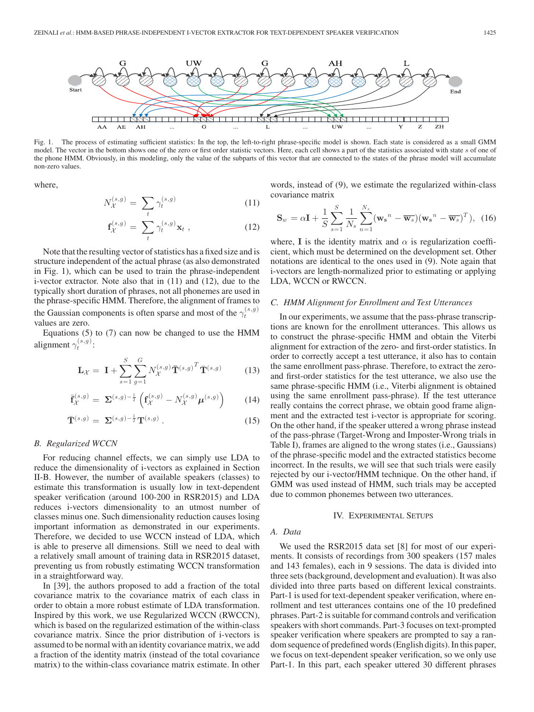

Fig. 1. The process of estimating sufficient statistics: In the top, the left-to-right phrase-specific model is shown. Each state is considered as a small GMM model. The vector in the bottom shows one of the zero or first order statistic vectors. Here, each cell shows a part of the statistics associated with state s of one of the phone HMM. Obviously, in this modeling, only the value of the subparts of this vector that are connected to the states of the phrase model will accumulate non-zero values.

where,

$$
N_{\mathcal{X}}^{(s,g)} = \sum_{t} \gamma_t^{(s,g)} \tag{11}
$$

$$
\mathbf{f}_{\mathcal{X}}^{(s,g)} = \sum_{t} \gamma_t^{(s,g)} \mathbf{x}_t , \qquad (12)
$$

Note that the resulting vector of statistics has a fixed size and is structure independent of the actual phrase (as also demonstrated in Fig. 1), which can be used to train the phrase-independent i-vector extractor. Note also that in (11) and (12), due to the typically short duration of phrases, not all phonemes are used in the phrase-specific HMM. Therefore, the alignment of frames to the Gaussian components is often sparse and most of the  $\gamma_t^{(s,g)}$ <br>values are zero values are zero.

Equations (5) to (7) can now be changed to use the HMM alignment  $\gamma_t^{(s,g)}$ :

$$
\mathbf{L}_{\mathcal{X}} = \mathbf{I} + \sum_{s=1}^{S} \sum_{g=1}^{G} N_{\mathcal{X}}^{(s,g)} \mathbf{\bar{T}}^{(s,g)}^T \mathbf{\bar{T}}^{(s,g)}
$$
(13)

$$
\bar{\mathbf{f}}_{\mathcal{X}}^{(s,g)} = \Sigma^{(s,g)-\frac{1}{2}} \left( \mathbf{f}_{\mathcal{X}}^{(s,g)} - N_{\mathcal{X}}^{(s,g)} \boldsymbol{\mu}^{(s,g)} \right) \tag{14}
$$

$$
\bar{\mathbf{T}}^{(s,g)} = \Sigma^{(s,g)-\frac{1}{2}} \mathbf{T}^{(s,g)} . \tag{15}
$$

# *B. Regularized WCCN*

For reducing channel effects, we can simply use LDA to reduce the dimensionality of i-vectors as explained in Section II-B. However, the number of available speakers (classes) to estimate this transformation is usually low in text-dependent speaker verification (around 100-200 in RSR2015) and LDA reduces i-vectors dimensionality to an utmost number of classes minus one. Such dimensionality reduction causes losing important information as demonstrated in our experiments. Therefore, we decided to use WCCN instead of LDA, which is able to preserve all dimensions. Still we need to deal with a relatively small amount of training data in RSR2015 dataset, preventing us from robustly estimating WCCN transformation in a straightforward way.

In [39], the authors proposed to add a fraction of the total covariance matrix to the covariance matrix of each class in order to obtain a more robust estimate of LDA transformation. Inspired by this work, we use Regularized WCCN (RWCCN), which is based on the regularized estimation of the within-class covariance matrix. Since the prior distribution of i-vectors is assumed to be normal with an identity covariance matrix, we add a fraction of the identity matrix (instead of the total covariance matrix) to the within-class covariance matrix estimate. In other words, instead of (9), we estimate the regularized within-class covariance matrix

$$
\mathbf{S}_w = \alpha \mathbf{I} + \frac{1}{S} \sum_{s=1}^{S} \frac{1}{N_s} \sum_{n=1}^{N_s} (\mathbf{w_s}^n - \overline{\mathbf{w}_s})(\mathbf{w_s}^n - \overline{\mathbf{w}_s})^T), \tag{16}
$$

where, **I** is the identity matrix and  $\alpha$  is regularization coefficient, which must be determined on the development set. Other notations are identical to the ones used in (9). Note again that i-vectors are length-normalized prior to estimating or applying LDA, WCCN or RWCCN.

## *C. HMM Alignment for Enrollment and Test Utterances*

In our experiments, we assume that the pass-phrase transcriptions are known for the enrollment utterances. This allows us to construct the phrase-specific HMM and obtain the Viterbi alignment for extraction of the zero- and first-order statistics. In order to correctly accept a test utterance, it also has to contain the same enrollment pass-phrase. Therefore, to extract the zeroand first-order statistics for the test utterance, we also use the same phrase-specific HMM (i.e., Viterbi alignment is obtained using the same enrollment pass-phrase). If the test utterance really contains the correct phrase, we obtain good frame alignment and the extracted test i-vector is appropriate for scoring. On the other hand, if the speaker uttered a wrong phrase instead of the pass-phrase (Target-Wrong and Imposter-Wrong trials in Table I), frames are aligned to the wrong states (i.e., Gaussians) of the phrase-specific model and the extracted statistics become incorrect. In the results, we will see that such trials were easily rejected by our i-vector/HMM technique. On the other hand, if GMM was used instead of HMM, such trials may be accepted due to common phonemes between two utterances.

## IV. EXPERIMENTAL SETUPS

## *A. Data*

We used the RSR2015 data set [8] for most of our experiments. It consists of recordings from 300 speakers (157 males and 143 females), each in 9 sessions. The data is divided into three sets (background, development and evaluation). It was also divided into three parts based on different lexical constraints. Part-1 is used for text-dependent speaker verification, where enrollment and test utterances contains one of the 10 predefined phrases. Part-2 is suitable for command controls and verification speakers with short commands. Part-3 focuses on text-prompted speaker verification where speakers are prompted to say a random sequence of predefined words (English digits). In this paper, we focus on text-dependent speaker verification, so we only use Part-1. In this part, each speaker uttered 30 different phrases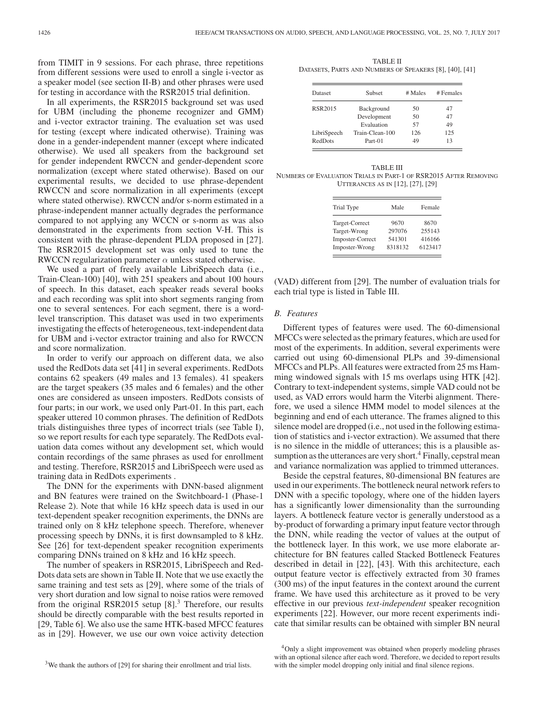from TIMIT in 9 sessions. For each phrase, three repetitions from different sessions were used to enroll a single i-vector as a speaker model (see section II-B) and other phrases were used for testing in accordance with the RSR2015 trial definition.

In all experiments, the RSR2015 background set was used for UBM (including the phoneme recognizer and GMM) and i-vector extractor training. The evaluation set was used for testing (except where indicated otherwise). Training was done in a gender-independent manner (except where indicated otherwise). We used all speakers from the background set for gender independent RWCCN and gender-dependent score normalization (except where stated otherwise). Based on our experimental results, we decided to use phrase-dependent RWCCN and score normalization in all experiments (except where stated otherwise). RWCCN and/or s-norm estimated in a phrase-independent manner actually degrades the performance compared to not applying any WCCN or s-norm as was also demonstrated in the experiments from section V-H. This is consistent with the phrase-dependent PLDA proposed in [27]. The RSR2015 development set was only used to tune the RWCCN regularization parameter  $\alpha$  unless stated otherwise.

We used a part of freely available LibriSpeech data (i.e., Train-Clean-100) [40], with 251 speakers and about 100 hours of speech. In this dataset, each speaker reads several books and each recording was split into short segments ranging from one to several sentences. For each segment, there is a wordlevel transcription. This dataset was used in two experiments investigating the effects of heterogeneous, text-independent data for UBM and i-vector extractor training and also for RWCCN and score normalization.

In order to verify our approach on different data, we also used the RedDots data set [41] in several experiments. RedDots contains 62 speakers (49 males and 13 females). 41 speakers are the target speakers (35 males and 6 females) and the other ones are considered as unseen imposters. RedDots consists of four parts; in our work, we used only Part-01. In this part, each speaker uttered 10 common phrases. The definition of RedDots trials distinguishes three types of incorrect trials (see Table I), so we report results for each type separately. The RedDots evaluation data comes without any development set, which would contain recordings of the same phrases as used for enrollment and testing. Therefore, RSR2015 and LibriSpeech were used as training data in RedDots experiments .

The DNN for the experiments with DNN-based alignment and BN features were trained on the Switchboard-1 (Phase-1 Release 2). Note that while 16 kHz speech data is used in our text-dependent speaker recognition experiments, the DNNs are trained only on 8 kHz telephone speech. Therefore, whenever processing speech by DNNs, it is first downsampled to 8 kHz. See [26] for text-dependent speaker recognition experiments comparing DNNs trained on 8 kHz and 16 kHz speech.

The number of speakers in RSR2015, LibriSpeech and Red-Dots data sets are shown in Table II. Note that we use exactly the same training and test sets as [29], where some of the trials of very short duration and low signal to noise ratios were removed from the original RSR2015 setup  $[8]$ <sup>3</sup>. Therefore, our results should be directly comparable with the best results reported in [29, Table 6]. We also use the same HTK-based MFCC features as in [29]. However, we use our own voice activity detection

TABLE II DATASETS, PARTS AND NUMBERS OF SPEAKERS [8], [40], [41]

| Subset<br>Dataset |                 | # Males | # Females |
|-------------------|-----------------|---------|-----------|
| RSR2015           | Background      | 50      | 47        |
|                   | Development     | 50      | 47        |
|                   | Evaluation      | 57      | 49        |
| LibriSpeech       | Train-Clean-100 | 126     | 125       |
| <b>RedDots</b>    | $Part-01$       | 49      | 13        |

TABLE III NUMBERS OF EVALUATION TRIALS IN PART-1 OF RSR2015 AFTER REMOVING UTTERANCES AS IN [12], [27], [29]

| Trial Type       | Male    | Female  |
|------------------|---------|---------|
| Target-Correct   | 9670    | 8670    |
| Target-Wrong     | 297076  | 255143  |
| Imposter-Correct | 541301  | 416166  |
| Imposter-Wrong   | 8318132 | 6123417 |

(VAD) different from [29]. The number of evaluation trials for each trial type is listed in Table III.

# *B. Features*

Different types of features were used. The 60-dimensional MFCCs were selected as the primary features, which are used for most of the experiments. In addition, several experiments were carried out using 60-dimensional PLPs and 39-dimensional MFCCs and PLPs. All features were extracted from 25 ms Hamming windowed signals with 15 ms overlaps using HTK [42]. Contrary to text-independent systems, simple VAD could not be used, as VAD errors would harm the Viterbi alignment. Therefore, we used a silence HMM model to model silences at the beginning and end of each utterance. The frames aligned to this silence model are dropped (i.e., not used in the following estimation of statistics and i-vector extraction). We assumed that there is no silence in the middle of utterances; this is a plausible assumption as the utterances are very short.<sup>4</sup> Finally, cepstral mean and variance normalization was applied to trimmed utterances.

Beside the cepstral features, 80-dimensional BN features are used in our experiments. The bottleneck neural network refers to DNN with a specific topology, where one of the hidden layers has a significantly lower dimensionality than the surrounding layers. A bottleneck feature vector is generally understood as a by-product of forwarding a primary input feature vector through the DNN, while reading the vector of values at the output of the bottleneck layer. In this work, we use more elaborate architecture for BN features called Stacked Bottleneck Features described in detail in [22], [43]. With this architecture, each output feature vector is effectively extracted from 30 frames (300 ms) of the input features in the context around the current frame. We have used this architecture as it proved to be very effective in our previous *text-independent* speaker recognition experiments [22]. However, our more recent experiments indicate that similar results can be obtained with simpler BN neural

<sup>&</sup>lt;sup>3</sup>We thank the authors of [29] for sharing their enrollment and trial lists.

<sup>4</sup>Only a slight improvement was obtained when properly modeling phrases with an optional silence after each word. Therefore, we decided to report results with the simpler model dropping only initial and final silence regions.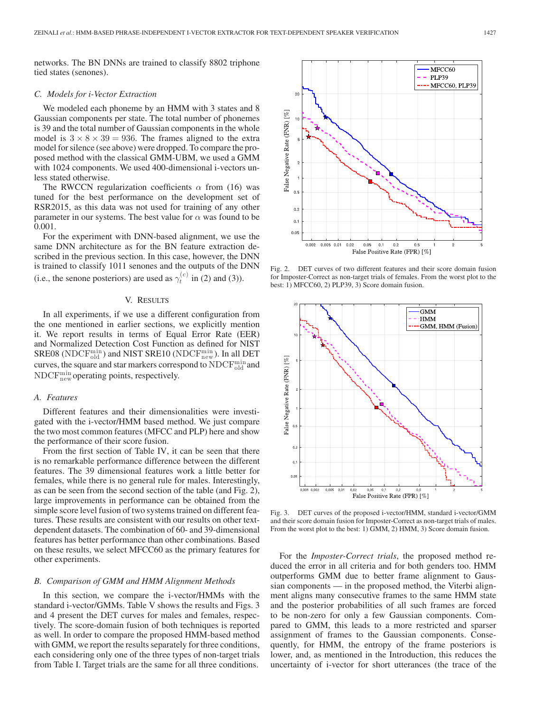networks. The BN DNNs are trained to classify 8802 triphone tied states (senones).

## *C. Models for i-Vector Extraction*

We modeled each phoneme by an HMM with 3 states and 8 Gaussian components per state. The total number of phonemes is 39 and the total number of Gaussian components in the whole model is  $3 \times 8 \times 39 = 936$ . The frames aligned to the extra model for silence (see above) were dropped. To compare the proposed method with the classical GMM-UBM, we used a GMM with 1024 components. We used 400-dimensional i-vectors unless stated otherwise.

The RWCCN regularization coefficients  $\alpha$  from (16) was tuned for the best performance on the development set of RSR2015, as this data was not used for training of any other parameter in our systems. The best value for  $\alpha$  was found to be 0.001.

For the experiment with DNN-based alignment, we use the same DNN architecture as for the BN feature extraction described in the previous section. In this case, however, the DNN is trained to classify 1011 senones and the outputs of the DNN (i.e., the senone posteriors) are used as  $\gamma_t^{(c)}$  in (2) and (3)).

# V. RESULTS

In all experiments, if we use a different configuration from the one mentioned in earlier sections, we explicitly mention it. We report results in terms of Equal Error Rate (EER) and Normalized Detection Cost Function as defined for NIST SRE08 (NDCF $_{\rm old}^{\rm min}$ ) and NIST SRE10 (NDCF $_{\rm new}^{\rm min}$ ). In all DET curves, the square and star markers correspond to  $NDCF<sub>old</sub><sub>old</sub>$  and  $NDCF_{\text{new}}^{\text{min}}$  operating points, respectively.

## *A. Features*

Different features and their dimensionalities were investigated with the i-vector/HMM based method. We just compare the two most common features (MFCC and PLP) here and show the performance of their score fusion.

From the first section of Table IV, it can be seen that there is no remarkable performance difference between the different features. The 39 dimensional features work a little better for females, while there is no general rule for males. Interestingly, as can be seen from the second section of the table (and Fig. 2), large improvements in performance can be obtained from the simple score level fusion of two systems trained on different features. These results are consistent with our results on other textdependent datasets. The combination of 60- and 39-dimensional features has better performance than other combinations. Based on these results, we select MFCC60 as the primary features for other experiments.

## *B. Comparison of GMM and HMM Alignment Methods*

In this section, we compare the i-vector/HMMs with the standard i-vector/GMMs. Table V shows the results and Figs. 3 and 4 present the DET curves for males and females, respectively. The score-domain fusion of both techniques is reported as well. In order to compare the proposed HMM-based method with GMM, we report the results separately for three conditions, each considering only one of the three types of non-target trials from Table I. Target trials are the same for all three conditions.



Fig. 2. DET curves of two different features and their score domain fusion for Imposter-Correct as non-target trials of females. From the worst plot to the best: 1) MFCC60, 2) PLP39, 3) Score domain fusion.



Fig. 3. DET curves of the proposed i-vector/HMM, standard i-vector/GMM and their score domain fusion for Imposter-Correct as non-target trials of males. From the worst plot to the best: 1) GMM, 2) HMM, 3) Score domain fusion.

For the *Imposter-Correct trials*, the proposed method reduced the error in all criteria and for both genders too. HMM outperforms GMM due to better frame alignment to Gaussian components — in the proposed method, the Viterbi alignment aligns many consecutive frames to the same HMM state and the posterior probabilities of all such frames are forced to be non-zero for only a few Gaussian components. Compared to GMM, this leads to a more restricted and sparser assignment of frames to the Gaussian components. Consequently, for HMM, the entropy of the frame posteriors is lower, and, as mentioned in the Introduction, this reduces the uncertainty of i-vector for short utterances (the trace of the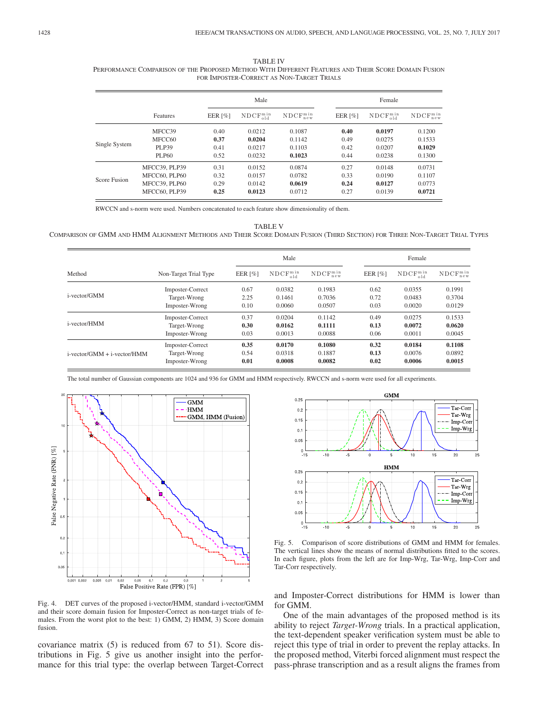TABLE IV PERFORMANCE COMPARISON OF THE PROPOSED METHOD WITH DIFFERENT FEATURES AND THEIR SCORE DOMAIN FUSION FOR IMPOSTER-CORRECT AS NON-TARGET TRIALS

|               |               |           | Male               |                    |           | Female             |                    |  |  |
|---------------|---------------|-----------|--------------------|--------------------|-----------|--------------------|--------------------|--|--|
|               | Features      | EER $[%]$ | $NDCF_{old}^{min}$ | $NDCF_{new}^{min}$ | EER $[%]$ | $NDCF_{old}^{min}$ | $NDCF_{new}^{min}$ |  |  |
|               | MFCC39        | 0.40      | 0.0212             | 0.1087             | 0.40      | 0.0197             | 0.1200             |  |  |
|               | MFCC60        | 0.37      | 0.0204             | 0.1142             | 0.49      | 0.0275             | 0.1533             |  |  |
| Single System | PLP39         | 0.41      | 0.0217             | 0.1103             | 0.42      | 0.0207             | 0.1029             |  |  |
|               | <b>PLP60</b>  | 0.52      | 0.0232             | 0.1023             | 0.44      | 0.0238             | 0.1300             |  |  |
|               | MFCC39, PLP39 | 0.31      | 0.0152             | 0.0874             | 0.27      | 0.0148             | 0.0731             |  |  |
|               | MFCC60, PLP60 | 0.32      | 0.0157             | 0.0782             | 0.33      | 0.0190             | 0.1107             |  |  |
| Score Fusion  | MFCC39, PLP60 | 0.29      | 0.0142             | 0.0619             | 0.24      | 0.0127             | 0.0773             |  |  |
|               | MFCC60, PLP39 | 0.25      | 0.0123             | 0.0712             | 0.27      | 0.0139             | 0.0721             |  |  |

RWCCN and s-norm were used. Numbers concatenated to each feature show dimensionality of them.

TABLE V

COMPARISON OF GMM AND HMM ALIGNMENT METHODS AND THEIR SCORE DOMAIN FUSION (THIRD SECTION) FOR THREE NON-TARGET TRIAL TYPES

|                                   |                       |           | Male               |                    | Female    |                    |                    |
|-----------------------------------|-----------------------|-----------|--------------------|--------------------|-----------|--------------------|--------------------|
| Method                            | Non-Target Trial Type | EER $[%]$ | $NDCF_{old}^{min}$ | $NDCF_{new}^{min}$ | EER $[%]$ | $NDCF_{old}^{min}$ | $NDCF_{new}^{min}$ |
|                                   | Imposter-Correct      | 0.67      | 0.0382             | 0.1983             | 0.62      | 0.0355             | 0.1991             |
| i-vector/GMM                      | Target-Wrong          | 2.25      | 0.1461             | 0.7036             | 0.72      | 0.0483             | 0.3704             |
|                                   | Imposter-Wrong        | 0.10      | 0.0060             | 0.0507             | 0.03      | 0.0020             | 0.0129             |
|                                   | Imposter-Correct      | 0.37      | 0.0204             | 0.1142             | 0.49      | 0.0275             | 0.1533             |
| i-vector/HMM                      | Target-Wrong          | 0.30      | 0.0162             | 0.1111             | 0.13      | 0.0072             | 0.0620             |
|                                   | Imposter-Wrong        | 0.03      | 0.0013             | 0.0088             | 0.06      | 0.0011             | 0.0045             |
|                                   | Imposter-Correct      | 0.35      | 0.0170             | 0.1080             | 0.32      | 0.0184             | 0.1108             |
| $i$ -vector/GMM + $i$ -vector/HMM | Target-Wrong          | 0.54      | 0.0318             | 0.1887             | 0.13      | 0.0076             | 0.0892             |
|                                   | Imposter-Wrong        | 0.01      | 0.0008             | 0.0082             | 0.02      | 0.0006             | 0.0015             |

The total number of Gaussian components are 1024 and 936 for GMM and HMM respectively. RWCCN and s-norm were used for all experiments.



**GMM**  $0.25$ Tar Corr  $0.2$ Tar-Wrg  $0.15$ - Imp Cor Imp-Wrg  $0.1$  $0.05$  $^{0}$  L  $20$  $-10$  $\overline{10}$ 18  $25$ **HMM**  $0.25$ Tar Corr  $0.2$ Tar Wrg  $0.15$ Imp-Corr Imp-Wrg  $0.1$  $0.05$  $^{0}$  L<br>-15  $-10$ 

Fig. 5. Comparison of score distributions of GMM and HMM for females. The vertical lines show the means of normal distributions fitted to the scores. In each figure, plots from the left are for Imp-Wrg, Tar-Wrg, Imp-Corr and Tar-Corr respectively.

and Imposter-Correct distributions for HMM is lower than for GMM.

One of the main advantages of the proposed method is its ability to reject *Target-Wrong* trials. In a practical application, the text-dependent speaker verification system must be able to reject this type of trial in order to prevent the replay attacks. In the proposed method, Viterbi forced alignment must respect the pass-phrase transcription and as a result aligns the frames from

Fig. 4. DET curves of the proposed i-vector/HMM, standard i-vector/GMM and their score domain fusion for Imposter-Correct as non-target trials of females. From the worst plot to the best: 1) GMM, 2) HMM, 3) Score domain fusion.

covariance matrix (5) is reduced from 67 to 51). Score distributions in Fig. 5 give us another insight into the performance for this trial type: the overlap between Target-Correct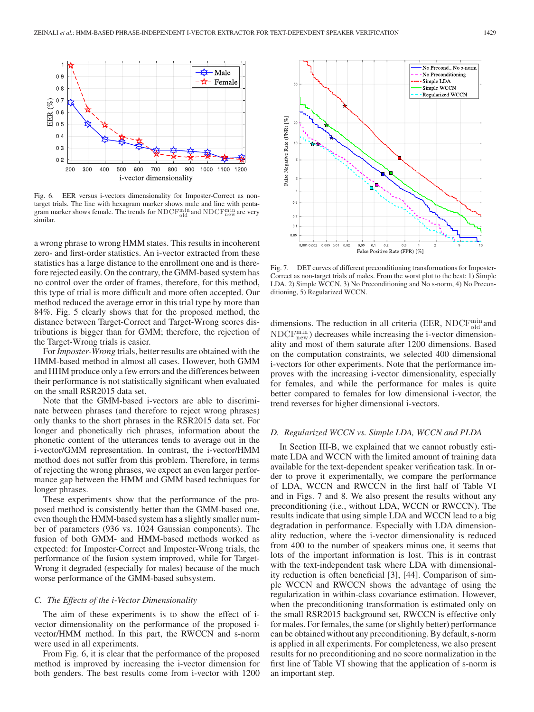

Fig. 6. EER versus i-vectors dimensionality for Imposter-Correct as nontarget trials. The line with hexagram marker shows male and line with pentagram marker shows female. The trends for  $\text{NDCF}_{\text{old}}^{\text{min}}$  and  $\text{NDCF}_{\text{new}}^{\text{min}}$  are very similar.

a wrong phrase to wrong HMM states. This results in incoherent zero- and first-order statistics. An i-vector extracted from these statistics has a large distance to the enrollment one and is therefore rejected easily. On the contrary, the GMM-based system has no control over the order of frames, therefore, for this method, this type of trial is more difficult and more often accepted. Our method reduced the average error in this trial type by more than 84%. Fig. 5 clearly shows that for the proposed method, the distance between Target-Correct and Target-Wrong scores distributions is bigger than for GMM; therefore, the rejection of the Target-Wrong trials is easier.

For *Imposter-Wrong* trials, better results are obtained with the HMM-based method in almost all cases. However, both GMM and HHM produce only a few errors and the differences between their performance is not statistically significant when evaluated on the small RSR2015 data set.

Note that the GMM-based i-vectors are able to discriminate between phrases (and therefore to reject wrong phrases) only thanks to the short phrases in the RSR2015 data set. For longer and phonetically rich phrases, information about the phonetic content of the utterances tends to average out in the i-vector/GMM representation. In contrast, the i-vector/HMM method does not suffer from this problem. Therefore, in terms of rejecting the wrong phrases, we expect an even larger performance gap between the HMM and GMM based techniques for longer phrases.

These experiments show that the performance of the proposed method is consistently better than the GMM-based one, even though the HMM-based system has a slightly smaller number of parameters (936 vs. 1024 Gaussian components). The fusion of both GMM- and HMM-based methods worked as expected: for Imposter-Correct and Imposter-Wrong trials, the performance of the fusion system improved, while for Target-Wrong it degraded (especially for males) because of the much worse performance of the GMM-based subsystem.

## *C. The Effects of the i-Vector Dimensionality*

The aim of these experiments is to show the effect of ivector dimensionality on the performance of the proposed ivector/HMM method. In this part, the RWCCN and s-norm were used in all experiments.

From Fig. 6, it is clear that the performance of the proposed method is improved by increasing the i-vector dimension for both genders. The best results come from i-vector with 1200



Fig. 7. DET curves of different preconditioning transformations for Imposter-Correct as non-target trials of males. From the worst plot to the best: 1) Simple LDA, 2) Simple WCCN, 3) No Preconditioning and No s-norm, 4) No Preconditioning, 5) Regularized WCCN.

dimensions. The reduction in all criteria (EER,  $NDCF_{old}^{min}$  and  $NDCF_{\text{new}}^{\text{min}}$ ) decreases while increasing the i-vector dimensionality and most of them saturate after 1200 dimensions. Based on the computation constraints, we selected 400 dimensional i-vectors for other experiments. Note that the performance improves with the increasing i-vector dimensionality, especially for females, and while the performance for males is quite better compared to females for low dimensional i-vector, the trend reverses for higher dimensional i-vectors.

# *D. Regularized WCCN vs. Simple LDA, WCCN and PLDA*

In Section III-B, we explained that we cannot robustly estimate LDA and WCCN with the limited amount of training data available for the text-dependent speaker verification task. In order to prove it experimentally, we compare the performance of LDA, WCCN and RWCCN in the first half of Table VI and in Figs. 7 and 8. We also present the results without any preconditioning (i.e., without LDA, WCCN or RWCCN). The results indicate that using simple LDA and WCCN lead to a big degradation in performance. Especially with LDA dimensionality reduction, where the i-vector dimensionality is reduced from 400 to the number of speakers minus one, it seems that lots of the important information is lost. This is in contrast with the text-independent task where LDA with dimensionality reduction is often beneficial [3], [44]. Comparison of simple WCCN and RWCCN shows the advantage of using the regularization in within-class covariance estimation. However, when the preconditioning transformation is estimated only on the small RSR2015 background set, RWCCN is effective only for males. For females, the same (or slightly better) performance can be obtained without any preconditioning. By default, s-norm is applied in all experiments. For completeness, we also present results for no preconditioning and no score normalization in the first line of Table VI showing that the application of s-norm is an important step.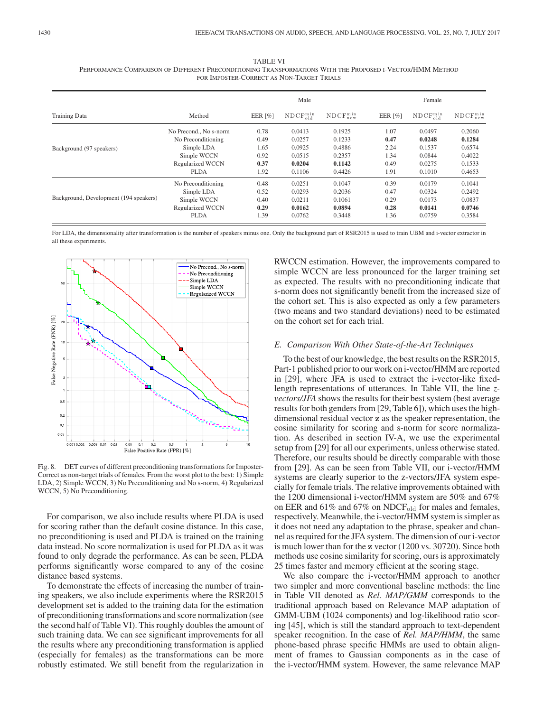TABLE VI PERFORMANCE COMPARISON OF DIFFERENT PRECONDITIONING TRANSFORMATIONS WITH THE PROPOSED I-VECTOR/HMM METHOD FOR IMPOSTER-CORRECT AS NON-TARGET TRIALS

|                                        |                      | Male      |                    |                    | Female    |                    |                    |
|----------------------------------------|----------------------|-----------|--------------------|--------------------|-----------|--------------------|--------------------|
| <b>Training Data</b>                   | Method               | EER $[%]$ | $NDCF_{old}^{min}$ | $NDCF_{new}^{min}$ | EER $[%]$ | $NDCF_{old}^{min}$ | $NDCF_{new}^{min}$ |
|                                        | No Precond No s-norm | 0.78      | 0.0413             | 0.1925             | 1.07      | 0.0497             | 0.2060             |
|                                        | No Preconditioning   | 0.49      | 0.0257             | 0.1233             | 0.47      | 0.0248             | 0.1284             |
| Background (97 speakers)               | Simple LDA           | 1.65      | 0.0925             | 0.4886             | 2.24      | 0.1537             | 0.6574             |
|                                        | Simple WCCN          | 0.92      | 0.0515             | 0.2357             | 1.34      | 0.0844             | 0.4022             |
|                                        | Regularized WCCN     | 0.37      | 0.0204             | 0.1142             | 0.49      | 0.0275             | 0.1533             |
|                                        | <b>PLDA</b>          | 1.92      | 0.1106             | 0.4426             | 1.91      | 0.1010             | 0.4653             |
|                                        | No Preconditioning   | 0.48      | 0.0251             | 0.1047             | 0.39      | 0.0179             | 0.1041             |
|                                        | Simple LDA           | 0.52      | 0.0293             | 0.2036             | 0.47      | 0.0324             | 0.2492             |
| Background, Development (194 speakers) | Simple WCCN          | 0.40      | 0.0211             | 0.1061             | 0.29      | 0.0173             | 0.0837             |
|                                        | Regularized WCCN     | 0.29      | 0.0162             | 0.0894             | 0.28      | 0.0141             | 0.0746             |
|                                        | <b>PLDA</b>          | 1.39      | 0.0762             | 0.3448             | 1.36      | 0.0759             | 0.3584             |

For LDA, the dimensionality after transformation is the number of speakers minus one. Only the background part of RSR2015 is used to train UBM and i-vector extractor in all these experiments.



Fig. 8. DET curves of different preconditioning transformations for Imposter-Correct as non-target trials of females. From the worst plot to the best: 1) Simple LDA, 2) Simple WCCN, 3) No Preconditioning and No s-norm, 4) Regularized WCCN, 5) No Preconditioning.

For comparison, we also include results where PLDA is used for scoring rather than the default cosine distance. In this case, no preconditioning is used and PLDA is trained on the training data instead. No score normalization is used for PLDA as it was found to only degrade the performance. As can be seen, PLDA performs significantly worse compared to any of the cosine distance based systems.

To demonstrate the effects of increasing the number of training speakers, we also include experiments where the RSR2015 development set is added to the training data for the estimation of preconditioning transformations and score normalization (see the second half of Table VI). This roughly doubles the amount of such training data. We can see significant improvements for all the results where any preconditioning transformation is applied (especially for females) as the transformations can be more robustly estimated. We still benefit from the regularization in RWCCN estimation. However, the improvements compared to simple WCCN are less pronounced for the larger training set as expected. The results with no preconditioning indicate that s-norm does not significantly benefit from the increased size of the cohort set. This is also expected as only a few parameters (two means and two standard deviations) need to be estimated on the cohort set for each trial.

## *E. Comparison With Other State-of-the-Art Techniques*

To the best of our knowledge, the best results on the RSR2015, Part-1 published prior to our work on i-vector/HMM are reported in [29], where JFA is used to extract the i-vector-like fixedlength representations of utterances. In Table VII, the line *zvectors/JFA* shows the results for their best system (best average results for both genders from [29, Table 6]), which uses the highdimensional residual vector **z** as the speaker representation, the cosine similarity for scoring and s-norm for score normalization. As described in section IV-A, we use the experimental setup from [29] for all our experiments, unless otherwise stated. Therefore, our results should be directly comparable with those from [29]. As can be seen from Table VII, our i-vector/HMM systems are clearly superior to the z-vectors/JFA system especially for female trials. The relative improvements obtained with the 1200 dimensional i-vector/HMM system are 50% and 67% on EER and  $61\%$  and  $67\%$  on NDCF<sub>old</sub> for males and females, respectively. Meanwhile, the i-vector/HMM system is simpler as it does not need any adaptation to the phrase, speaker and channel as required for the JFA system. The dimension of our i-vector is much lower than for the **z** vector (1200 vs. 30720). Since both methods use cosine similarity for scoring, ours is approximately 25 times faster and memory efficient at the scoring stage.

We also compare the i-vector/HMM approach to another two simpler and more conventional baseline methods: the line in Table VII denoted as *Rel. MAP/GMM* corresponds to the traditional approach based on Relevance MAP adaptation of GMM-UBM (1024 components) and log-likelihood ratio scoring [45], which is still the standard approach to text-dependent speaker recognition. In the case of *Rel. MAP/HMM*, the same phone-based phrase specific HMMs are used to obtain alignment of frames to Gaussian components as in the case of the i-vector/HMM system. However, the same relevance MAP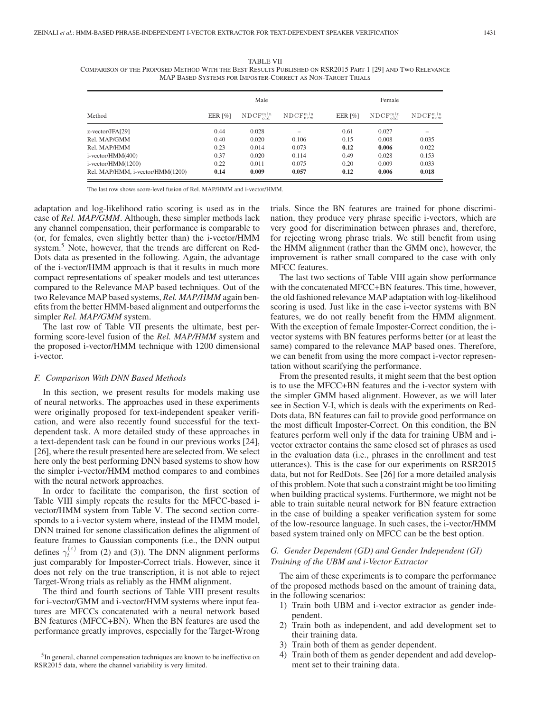TABLE VII COMPARISON OF THE PROPOSED METHOD WITH THE BEST RESULTS PUBLISHED ON RSR2015 PART-1 [29] AND TWO RELEVANCE MAP BASED SYSTEMS FOR IMPOSTER-CORRECT AS NON-TARGET TRIALS

|                                  |           | Male               |                    | Female    |                    |                          |  |
|----------------------------------|-----------|--------------------|--------------------|-----------|--------------------|--------------------------|--|
| Method                           | EER $[%]$ | $NDCF_{old}^{min}$ | $NDCF_{new}^{min}$ | EER $[%]$ | $NDCF_{old}^{min}$ | $NDCF_{new}^{min}$       |  |
| $z$ -vector/JFA $[29]$           | 0.44      | 0.028              |                    | 0.61      | 0.027              | $\overline{\phantom{0}}$ |  |
| Rel. MAP/GMM                     | 0.40      | 0.020              | 0.106              | 0.15      | 0.008              | 0.035                    |  |
| Rel. MAP/HMM                     | 0.23      | 0.014              | 0.073              | 0.12      | 0.006              | 0.022                    |  |
| $i$ -vector/HMM $(400)$          | 0.37      | 0.020              | 0.114              | 0.49      | 0.028              | 0.153                    |  |
| $i$ -vector/HMM $(1200)$         | 0.22      | 0.011              | 0.075              | 0.20      | 0.009              | 0.033                    |  |
| Rel. MAP/HMM, i-vector/HMM(1200) | 0.14      | 0.009              | 0.057              | 0.12      | 0.006              | 0.018                    |  |

The last row shows score-level fusion of Rel. MAP/HMM and i-vector/HMM.

adaptation and log-likelihood ratio scoring is used as in the case of *Rel. MAP/GMM*. Although, these simpler methods lack any channel compensation, their performance is comparable to (or, for females, even slightly better than) the i-vector/HMM system.<sup>5</sup> Note, however, that the trends are different on Red-Dots data as presented in the following. Again, the advantage of the i-vector/HMM approach is that it results in much more compact representations of speaker models and test utterances compared to the Relevance MAP based techniques. Out of the two Relevance MAP based systems, *Rel. MAP/HMM* again benefits from the better HMM-based alignment and outperforms the simpler *Rel. MAP/GMM* system.

The last row of Table VII presents the ultimate, best performing score-level fusion of the *Rel. MAP/HMM* system and the proposed i-vector/HMM technique with 1200 dimensional i-vector.

## *F. Comparison With DNN Based Methods*

In this section, we present results for models making use of neural networks. The approaches used in these experiments were originally proposed for text-independent speaker verification, and were also recently found successful for the textdependent task. A more detailed study of these approaches in a text-dependent task can be found in our previous works [24], [26], where the result presented here are selected from. We select here only the best performing DNN based systems to show how the simpler i-vector/HMM method compares to and combines with the neural network approaches.

In order to facilitate the comparison, the first section of Table VIII simply repeats the results for the MFCC-based ivector/HMM system from Table V. The second section corresponds to a i-vector system where, instead of the HMM model, DNN trained for senone classification defines the alignment of feature frames to Gaussian components (i.e., the DNN output defines  $\gamma_t^{(c)}$  from (2) and (3)). The DNN alignment performs<br>inst comparably for Imposter-Correct trials. However, since it just comparably for Imposter-Correct trials. However, since it does not rely on the true transcription, it is not able to reject Target-Wrong trials as reliably as the HMM alignment.

The third and fourth sections of Table VIII present results for i-vector/GMM and i-vector/HMM systems where input features are MFCCs concatenated with a neural network based BN features (MFCC+BN). When the BN features are used the performance greatly improves, especially for the Target-Wrong

5In general, channel compensation techniques are known to be ineffective on RSR2015 data, where the channel variability is very limited.

trials. Since the BN features are trained for phone discrimination, they produce very phrase specific i-vectors, which are very good for discrimination between phrases and, therefore, for rejecting wrong phrase trials. We still benefit from using the HMM alignment (rather than the GMM one), however, the improvement is rather small compared to the case with only MFCC features.

The last two sections of Table VIII again show performance with the concatenated MFCC+BN features. This time, however, the old fashioned relevance MAP adaptation with log-likelihood scoring is used. Just like in the case i-vector systems with BN features, we do not really benefit from the HMM alignment. With the exception of female Imposter-Correct condition, the ivector systems with BN features performs better (or at least the same) compared to the relevance MAP based ones. Therefore, we can benefit from using the more compact i-vector representation without scarifying the performance.

From the presented results, it might seem that the best option is to use the MFCC+BN features and the i-vector system with the simpler GMM based alignment. However, as we will later see in Section V-I, which is deals with the experiments on Red-Dots data, BN features can fail to provide good performance on the most difficult Imposter-Correct. On this condition, the BN features perform well only if the data for training UBM and ivector extractor contains the same closed set of phrases as used in the evaluation data (i.e., phrases in the enrollment and test utterances). This is the case for our experiments on RSR2015 data, but not for RedDots. See [26] for a more detailed analysis of this problem. Note that such a constraint might be too limiting when building practical systems. Furthermore, we might not be able to train suitable neural network for BN feature extraction in the case of building a speaker verification system for some of the low-resource language. In such cases, the i-vector/HMM based system trained only on MFCC can be the best option.

# *G. Gender Dependent (GD) and Gender Independent (GI) Training of the UBM and i-Vector Extractor*

The aim of these experiments is to compare the performance of the proposed methods based on the amount of training data, in the following scenarios:

- 1) Train both UBM and i-vector extractor as gender independent.
- 2) Train both as independent, and add development set to their training data.
- 3) Train both of them as gender dependent.
- 4) Train both of them as gender dependent and add development set to their training data.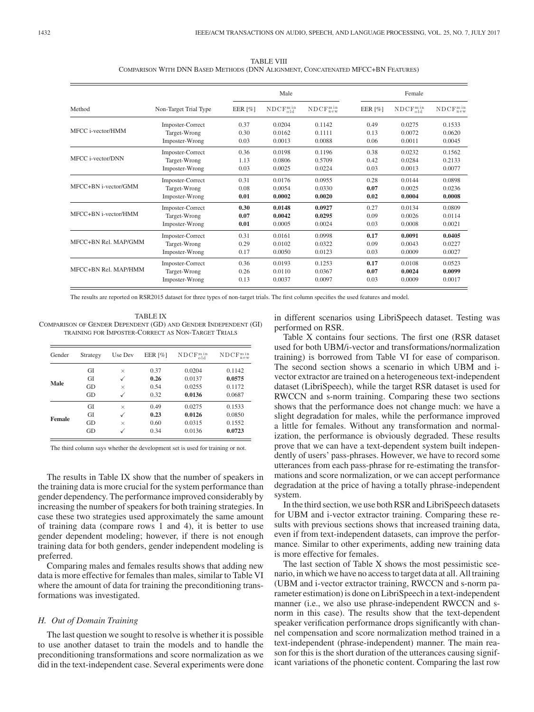| TABLE VIII                                                                       |
|----------------------------------------------------------------------------------|
| COMPARISON WITH DNN BASED METHODS (DNN ALIGNMENT, CONCATENATED MFCC+BN FEATURES) |

|                      |                       |         | Male               |                    |           | Female             |                    |
|----------------------|-----------------------|---------|--------------------|--------------------|-----------|--------------------|--------------------|
| Method               | Non-Target Trial Type | EER [%] | $NDCF_{old}^{min}$ | $NDCF_{new}^{min}$ | EER $[%]$ | $NDCF_{old}^{min}$ | $NDCF_{new}^{min}$ |
| MFCC i-vector/HMM    | Imposter-Correct      | 0.37    | 0.0204             | 0.1142             | 0.49      | 0.0275             | 0.1533             |
|                      | Target-Wrong          | 0.30    | 0.0162             | 0.1111             | 0.13      | 0.0072             | 0.0620             |
|                      | Imposter-Wrong        | 0.03    | 0.0013             | 0.0088             | 0.06      | 0.0011             | 0.0045             |
| MFCC i-vector/DNN    | Imposter-Correct      | 0.36    | 0.0198             | 0.1196             | 0.38      | 0.0232             | 0.1562             |
|                      | Target-Wrong          | 1.13    | 0.0806             | 0.5709             | 0.42      | 0.0284             | 0.2133             |
|                      | Imposter-Wrong        | 0.03    | 0.0025             | 0.0224             | 0.03      | 0.0013             | 0.0077             |
| MFCC+BN i-vector/GMM | Imposter-Correct      | 0.31    | 0.0176             | 0.0955             | 0.28      | 0.0144             | 0.0898             |
|                      | Target-Wrong          | 0.08    | 0.0054             | 0.0330             | 0.07      | 0.0025             | 0.0236             |
|                      | Imposter-Wrong        | 0.01    | 0.0002             | 0.0020             | 0.02      | 0.0004             | 0.0008             |
| MFCC+BN i-vector/HMM | Imposter-Correct      | 0.30    | 0.0148             | 0.0927             | 0.27      | 0.0134             | 0.0809             |
|                      | Target-Wrong          | 0.07    | 0.0042             | 0.0295             | 0.09      | 0.0026             | 0.0114             |
|                      | Imposter-Wrong        | 0.01    | 0.0005             | 0.0024             | 0.03      | 0.0008             | 0.0021             |
| MFCC+BN Rel. MAP/GMM | Imposter-Correct      | 0.31    | 0.0161             | 0.0998             | 0.17      | 0.0091             | 0.0405             |
|                      | Target-Wrong          | 0.29    | 0.0102             | 0.0322             | 0.09      | 0.0043             | 0.0227             |
|                      | Imposter-Wrong        | 0.17    | 0.0050             | 0.0123             | 0.03      | 0.0009             | 0.0027             |
| MFCC+BN Rel. MAP/HMM | Imposter-Correct      | 0.36    | 0.0193             | 0.1253             | 0.17      | 0.0108             | 0.0523             |
|                      | Target-Wrong          | 0.26    | 0.0110             | 0.0367             | 0.07      | 0.0024             | 0.0099             |
|                      | Imposter-Wrong        | 0.13    | 0.0037             | 0.0097             | 0.03      | 0.0009             | 0.0017             |

The results are reported on RSR2015 dataset for three types of non-target trials. The first column specifies the used features and model.

TABLE IX COMPARISON OF GENDER DEPENDENT (GD) AND GENDER INDEPENDENT (GI) TRAINING FOR IMPOSTER-CORRECT AS NON-TARGET TRIALS

| Gender | Strategy | Use Dev      | EER $[%]$ | $NDCF_{old}^{min}$ | $NDCF_{n}^{min}$<br>n e w |
|--------|----------|--------------|-----------|--------------------|---------------------------|
|        | GI       | $\times$     | 0.37      | 0.0204             | 0.1142                    |
|        | GI       | ✓            | 0.26      | 0.0137             | 0.0575                    |
| Male   | GD       | $\times$     | 0.54      | 0.0255             | 0.1172                    |
|        | GD       | $\checkmark$ | 0.32      | 0.0136             | 0.0687                    |
|        | GI       | $\times$     | 0.49      | 0.0275             | 0.1533                    |
|        | GI       | ✓            | 0.23      | 0.0126             | 0.0850                    |
| Female | GD       | $\times$     | 0.60      | 0.0315             | 0.1552                    |
|        | GD       | √            | 0.34      | 0.0136             | 0.0723                    |

The third column says whether the development set is used for training or not.

The results in Table IX show that the number of speakers in the training data is more crucial for the system performance than gender dependency. The performance improved considerably by increasing the number of speakers for both training strategies. In case these two strategies used approximately the same amount of training data (compare rows 1 and 4), it is better to use gender dependent modeling; however, if there is not enough training data for both genders, gender independent modeling is preferred.

Comparing males and females results shows that adding new data is more effective for females than males, similar to Table VI where the amount of data for training the preconditioning transformations was investigated.

## *H. Out of Domain Training*

The last question we sought to resolve is whether it is possible to use another dataset to train the models and to handle the preconditioning transformations and score normalization as we did in the text-independent case. Several experiments were done

in different scenarios using LibriSpeech dataset. Testing was performed on RSR.

Table X contains four sections. The first one (RSR dataset used for both UBM/i-vector and transformations/normalization training) is borrowed from Table VI for ease of comparison. The second section shows a scenario in which UBM and ivector extractor are trained on a heterogeneous text-independent dataset (LibriSpeech), while the target RSR dataset is used for RWCCN and s-norm training. Comparing these two sections shows that the performance does not change much: we have a slight degradation for males, while the performance improved a little for females. Without any transformation and normalization, the performance is obviously degraded. These results prove that we can have a text-dependent system built independently of users' pass-phrases. However, we have to record some utterances from each pass-phrase for re-estimating the transformations and score normalization, or we can accept performance degradation at the price of having a totally phrase-independent system.

In the third section, we use both RSR and LibriSpeech datasets for UBM and i-vector extractor training. Comparing these results with previous sections shows that increased training data, even if from text-independent datasets, can improve the performance. Similar to other experiments, adding new training data is more effective for females.

The last section of Table X shows the most pessimistic scenario, in which we have no access to target data at all. All training (UBM and i-vector extractor training, RWCCN and s-norm parameter estimation) is done on LibriSpeech in a text-independent manner (i.e., we also use phrase-independent RWCCN and snorm in this case). The results show that the text-dependent speaker verification performance drops significantly with channel compensation and score normalization method trained in a text-independent (phrase-independent) manner. The main reason for this is the short duration of the utterances causing significant variations of the phonetic content. Comparing the last row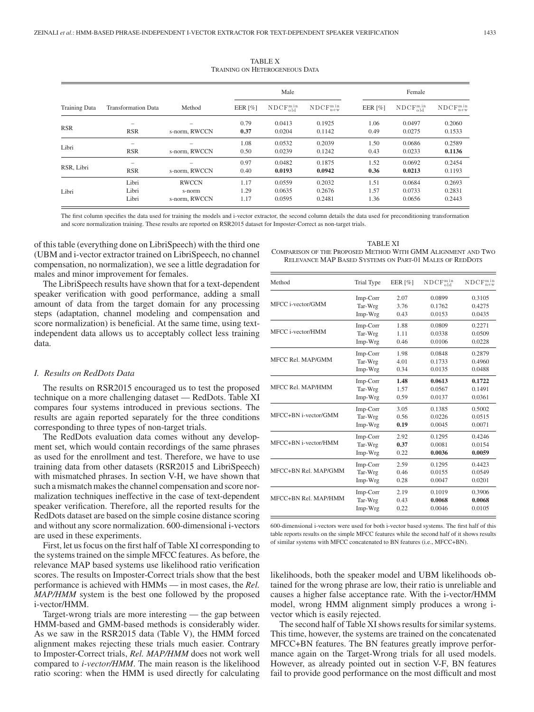|                      |                                        | Method                                  |                      | Male                       |                            |                      | Female                     |                            |  |
|----------------------|----------------------------------------|-----------------------------------------|----------------------|----------------------------|----------------------------|----------------------|----------------------------|----------------------------|--|
| <b>Training Data</b> | <b>Transformation Data</b>             |                                         | EER $[%]$            | $NDCF_{old}^{min}$         | $NDCF_{new}^{min}$         | EER $[%]$            | $\rm NDCF_{old}^{min}$     | $NDCF_{new}^{min}$         |  |
| <b>RSR</b>           | $\overline{\phantom{0}}$<br><b>RSR</b> | s-norm, RWCCN                           | 0.79<br>0.37         | 0.0413<br>0.0204           | 0.1925<br>0.1142           | 1.06<br>0.49         | 0.0497<br>0.0275           | 0.2060<br>0.1533           |  |
| Libri                | <b>RSR</b>                             | s-norm, RWCCN                           | 1.08<br>0.50         | 0.0532<br>0.0239           | 0.2039<br>0.1242           | 1.50<br>0.43         | 0.0686<br>0.0233           | 0.2589<br>0.1136           |  |
| RSR, Libri           | -<br><b>RSR</b>                        | s-norm, RWCCN                           | 0.97<br>0.40         | 0.0482<br>0.0193           | 0.1875<br>0.0942           | 1.52<br>0.36         | 0.0692<br>0.0213           | 0.2454<br>0.1193           |  |
| Libri                | Libri<br>Libri<br>Libri                | <b>RWCCN</b><br>s-norm<br>s-norm, RWCCN | 1.17<br>1.29<br>1.17 | 0.0559<br>0.0635<br>0.0595 | 0.2032<br>0.2676<br>0.2481 | 1.51<br>1.57<br>1.36 | 0.0684<br>0.0733<br>0.0656 | 0.2693<br>0.2831<br>0.2443 |  |

TABLE X TRAINING ON HETEROGENEOUS DATA

The first column specifies the data used for training the models and i-vector extractor, the second column details the data used for preconditioning transformation and score normalization training. These results are reported on RSR2015 dataset for Imposter-Correct as non-target trials.

of this table (everything done on LibriSpeech) with the third one (UBM and i-vector extractor trained on LibriSpeech, no channel compensation, no normalization), we see a little degradation for males and minor improvement for females.

The LibriSpeech results have shown that for a text-dependent speaker verification with good performance, adding a small amount of data from the target domain for any processing steps (adaptation, channel modeling and compensation and score normalization) is beneficial. At the same time, using textindependent data allows us to acceptably collect less training data.

# *I. Results on RedDots Data*

The results on RSR2015 encouraged us to test the proposed technique on a more challenging dataset — RedDots. Table XI compares four systems introduced in previous sections. The results are again reported separately for the three conditions corresponding to three types of non-target trials.

The RedDots evaluation data comes without any development set, which would contain recordings of the same phrases as used for the enrollment and test. Therefore, we have to use training data from other datasets (RSR2015 and LibriSpeech) with mismatched phrases. In section V-H, we have shown that such a mismatch makes the channel compensation and score normalization techniques ineffective in the case of text-dependent speaker verification. Therefore, all the reported results for the RedDots dataset are based on the simple cosine distance scoring and without any score normalization. 600-dimensional i-vectors are used in these experiments.

First, let us focus on the first half of Table XI corresponding to the systems trained on the simple MFCC features. As before, the relevance MAP based systems use likelihood ratio verification scores. The results on Imposter-Correct trials show that the best performance is achieved with HMMs — in most cases, the *Rel. MAP/HMM* system is the best one followed by the proposed i-vector/HMM.

Target-wrong trials are more interesting — the gap between HMM-based and GMM-based methods is considerably wider. As we saw in the RSR2015 data (Table V), the HMM forced alignment makes rejecting these trials much easier. Contrary to Imposter-Correct trials, *Rel. MAP/HMM* does not work well compared to *i-vector/HMM*. The main reason is the likelihood ratio scoring: when the HMM is used directly for calculating

| COMPARISON OF THE PROPOSED METHOD WITH GMM ALIGNMENT AND TWO |
|--------------------------------------------------------------|
| RELEVANCE MAP BASED SYSTEMS ON PART-01 MALES OF REDDOTS      |
|                                                              |
|                                                              |

TABLE XI

| <b>Trial Type</b> | EER $[%]$ | $NDCF_{old}^{min}$ | $NDCF_{new}^{min}$ |
|-------------------|-----------|--------------------|--------------------|
| Imp-Corr          | 2.07      | 0.0899             | 0.3105             |
| Tar-Wrg           | 3.76      | 0.1762             | 0.4275             |
| Imp-Wrg           | 0.43      | 0.0153             | 0.0435             |
| Imp-Corr          | 1.88      | 0.0809             | 0.2271             |
| Tar-Wrg           | 1.11      | 0.0338             | 0.0509             |
| Imp-Wrg           | 0.46      | 0.0106             | 0.0228             |
| Imp-Corr          | 1.98      | 0.0848             | 0.2879             |
| Tar-Wrg           | 4.01      | 0.1733             | 0.4960             |
| Imp-Wrg           | 0.34      | 0.0135             | 0.0488             |
| Imp-Corr          | 1.48      | 0.0613             | 0.1722             |
| Tar-Wrg           | 1.57      | 0.0567             | 0.1491             |
| Imp-Wrg           | 0.59      | 0.0137             | 0.0361             |
| Imp-Corr          | 3.05      | 0.1385             | 0.5002             |
| Tar-Wrg           | 0.56      | 0.0226             | 0.0515             |
| Imp-Wrg           | 0.19      | 0.0045             | 0.0071             |
| Imp-Corr          | 2.92      | 0.1295             | 0.4246             |
| Tar-Wrg           | 0.37      | 0.0081             | 0.0154             |
| Imp-Wrg           | 0.22      | 0.0036             | 0.0059             |
| Imp-Corr          | 2.59      | 0.1295             | 0.4423             |
| Tar-Wrg           | 0.46      | 0.0155             | 0.0549             |
| Imp-Wrg           | 0.28      | 0.0047             | 0.0201             |
| Imp-Corr          | 2.19      | 0.1019             | 0.3906             |
| Tar-Wrg           | 0.43      | 0.0068             | 0.0068             |
| Imp-Wrg           | 0.22      | 0.0046             | 0.0105             |
|                   |           |                    |                    |

600-dimensional i-vectors were used for both i-vector based systems. The first half of this table reports results on the simple MFCC features while the second half of it shows results of similar systems with MFCC concatenated to BN features (i.e., MFCC+BN).

likelihoods, both the speaker model and UBM likelihoods obtained for the wrong phrase are low, their ratio is unreliable and causes a higher false acceptance rate. With the i-vector/HMM model, wrong HMM alignment simply produces a wrong ivector which is easily rejected.

The second half of Table XI shows results for similar systems. This time, however, the systems are trained on the concatenated MFCC+BN features. The BN features greatly improve performance again on the Target-Wrong trials for all used models. However, as already pointed out in section V-F, BN features fail to provide good performance on the most difficult and most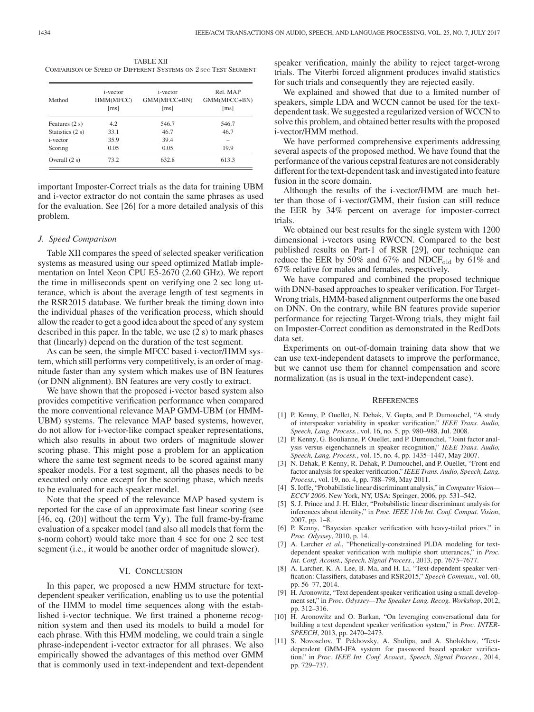TABLE XII COMPARISON OF SPEED OF DIFFERENT SYSTEMS ON 2 sec TEST SEGMENT

| Method           | <i>i</i> -vector<br>HMM(MFCC)<br>$\lceil ms \rceil$ | <i>i</i> -vector<br>GMM(MFCC+BN)<br>$\lceil ms \rceil$ | Rel. MAP<br>GMM(MFCC+BN)<br>$\lceil ms \rceil$ |
|------------------|-----------------------------------------------------|--------------------------------------------------------|------------------------------------------------|
| Features $(2 s)$ | 4.2                                                 | 546.7                                                  | 546.7                                          |
| Statistics (2 s) | 33.1                                                | 46.7                                                   | 46.7                                           |
| <i>i</i> -vector | 35.9                                                | 39.4                                                   |                                                |
| Scoring          | 0.05                                                | 0.05                                                   | 19.9                                           |
| Overall $(2 s)$  | 73.2                                                | 632.8                                                  | 613.3                                          |

important Imposter-Correct trials as the data for training UBM and i-vector extractor do not contain the same phrases as used for the evaluation. See [26] for a more detailed analysis of this problem.

#### *J. Speed Comparison*

Table XII compares the speed of selected speaker verification systems as measured using our speed optimized Matlab implementation on Intel Xeon CPU E5-2670 (2.60 GHz). We report the time in milliseconds spent on verifying one 2 sec long utterance, which is about the average length of test segments in the RSR2015 database. We further break the timing down into the individual phases of the verification process, which should allow the reader to get a good idea about the speed of any system described in this paper. In the table, we use (2 s) to mark phases that (linearly) depend on the duration of the test segment.

As can be seen, the simple MFCC based i-vector/HMM system, which still performs very competitively, is an order of magnitude faster than any system which makes use of BN features (or DNN alignment). BN features are very costly to extract.

We have shown that the proposed i-vector based system also provides competitive verification performance when compared the more conventional relevance MAP GMM-UBM (or HMM-UBM) systems. The relevance MAP based systems, however, do not allow for i-vector-like compact speaker representations, which also results in about two orders of magnitude slower scoring phase. This might pose a problem for an application where the same test segment needs to be scored against many speaker models. For a test segment, all the phases needs to be executed only once except for the scoring phase, which needs to be evaluated for each speaker model.

Note that the speed of the relevance MAP based system is reported for the case of an approximate fast linear scoring (see [46, eq. (20)] without the term **Vy**). The full frame-by-frame evaluation of a speaker model (and also all models that form the s-norm cohort) would take more than 4 sec for one 2 sec test segment (i.e., it would be another order of magnitude slower).

## VI. CONCLUSION

In this paper, we proposed a new HMM structure for textdependent speaker verification, enabling us to use the potential of the HMM to model time sequences along with the established i-vector technique. We first trained a phoneme recognition system and then used its models to build a model for each phrase. With this HMM modeling, we could train a single phrase-independent i-vector extractor for all phrases. We also empirically showed the advantages of this method over GMM that is commonly used in text-independent and text-dependent speaker verification, mainly the ability to reject target-wrong trials. The Viterbi forced alignment produces invalid statistics for such trials and consequently they are rejected easily.

We explained and showed that due to a limited number of speakers, simple LDA and WCCN cannot be used for the textdependent task. We suggested a regularized version of WCCN to solve this problem, and obtained better results with the proposed i-vector/HMM method.

We have performed comprehensive experiments addressing several aspects of the proposed method. We have found that the performance of the various cepstral features are not considerably different for the text-dependent task and investigated into feature fusion in the score domain.

Although the results of the i-vector/HMM are much better than those of i-vector/GMM, their fusion can still reduce the EER by 34% percent on average for imposter-correct trials.

We obtained our best results for the single system with 1200 dimensional i-vectors using RWCCN. Compared to the best published results on Part-1 of RSR [29], our technique can reduce the EER by 50% and 67% and NDCF<sub>old</sub> by 61% and 67% relative for males and females, respectively.

We have compared and combined the proposed technique with DNN-based approaches to speaker verification. For Target-Wrong trials, HMM-based alignment outperforms the one based on DNN. On the contrary, while BN features provide superior performance for rejecting Target-Wrong trials, they might fail on Imposter-Correct condition as demonstrated in the RedDots data set.

Experiments on out-of-domain training data show that we can use text-independent datasets to improve the performance, but we cannot use them for channel compensation and score normalization (as is usual in the text-independent case).

## **REFERENCES**

- [1] P. Kenny, P. Ouellet, N. Dehak, V. Gupta, and P. Dumouchel, "A study of interspeaker variability in speaker verification," *IEEE Trans. Audio, Speech, Lang. Process.*, vol. 16, no. 5, pp. 980–988, Jul. 2008.
- [2] P. Kenny, G. Boulianne, P. Ouellet, and P. Dumouchel, "Joint factor analysis versus eigenchannels in speaker recognition," *IEEE Trans. Audio, Speech, Lang. Process.*, vol. 15, no. 4, pp. 1435–1447, May 2007.
- [3] N. Dehak, P. Kenny, R. Dehak, P. Dumouchel, and P. Ouellet, "Front-end factor analysis for speaker verification," *IEEE Trans. Audio, Speech, Lang. Process.*, vol. 19, no. 4, pp. 788–798, May 2011.
- [4] S. Ioffe, "Probabilistic linear discriminant analysis," in *Computer Vision— ECCV 2006*. New York, NY, USA: Springer, 2006, pp. 531–542.
- [5] S. J. Prince and J. H. Elder, "Probabilistic linear discriminant analysis for inferences about identity," in *Proc. IEEE 11th Int. Conf. Comput. Vision*, 2007, pp. 1–8.
- [6] P. Kenny, "Bayesian speaker verification with heavy-tailed priors." in *Proc. Odyssey*, 2010, p. 14.
- [7] A. Larcher *et al.*, "Phonetically-constrained PLDA modeling for textdependent speaker verification with multiple short utterances," in *Proc. Int. Conf. Acoust., Speech, Signal Process.*, 2013, pp. 7673–7677.
- [8] A. Larcher, K. A. Lee, B. Ma, and H. Li, "Text-dependent speaker verification: Classifiers, databases and RSR2015," *Speech Commun.*, vol. 60, pp. 56–77, 2014.
- [9] H. Aronowitz, "Text dependent speaker verification using a small development set," in *Proc. Odyssey—The Speaker Lang. Recog. Workshop*, 2012, pp. 312–316.
- [10] H. Aronowitz and O. Barkan, "On leveraging conversational data for building a text dependent speaker verification system," in *Proc. INTER-SPEECH*, 2013, pp. 2470–2473.
- [11] S. Novoselov, T. Pekhovsky, A. Shulipa, and A. Sholokhov, "Textdependent GMM-JFA system for password based speaker verification," in *Proc. IEEE Int. Conf. Acoust., Speech, Signal Process.*, 2014, pp. 729–737.